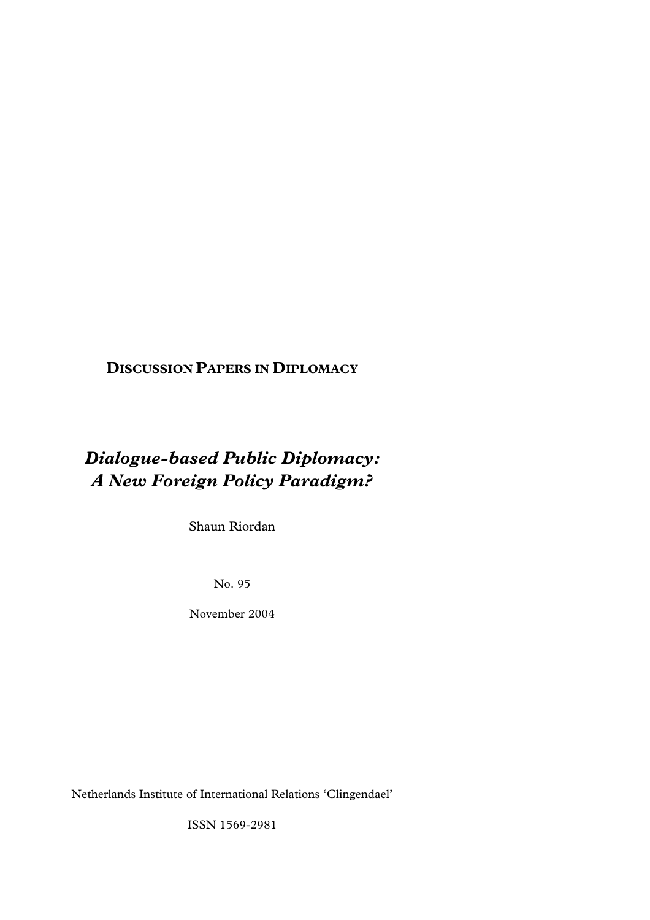# **DISCUSSION PAPERS IN DIPLOMACY**

# *Dialogue-based Public Diplomacy: A New Foreign Policy Paradigm?*

Shaun Riordan

No. 95

November 2004

Netherlands Institute of International Relations 'Clingendael'

ISSN 1569-2981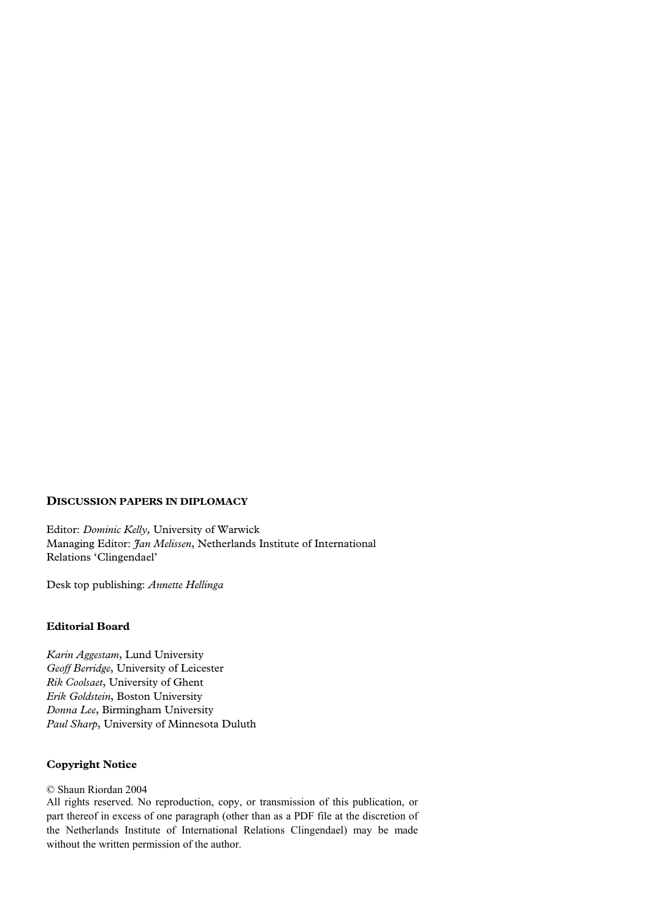# **DISCUSSION PAPERS IN DIPLOMACY**

Editor: *Dominic Kelly,* University of Warwick Managing Editor: *Jan Melissen*, Netherlands Institute of International Relations 'Clingendael'

Desk top publishing: *Annette Hellinga*

#### **Editorial Board**

*Karin Aggestam*, Lund University *Geoff Berridge*, University of Leicester *Rik Coolsaet*, University of Ghent *Erik Goldstein*, Boston University *Donna Lee*, Birmingham University *Paul Sharp*, University of Minnesota Duluth

# **Copyright Notice**

# © Shaun Riordan 2004

All rights reserved. No reproduction, copy, or transmission of this publication, or part thereof in excess of one paragraph (other than as a PDF file at the discretion of the Netherlands Institute of International Relations Clingendael) may be made without the written permission of the author.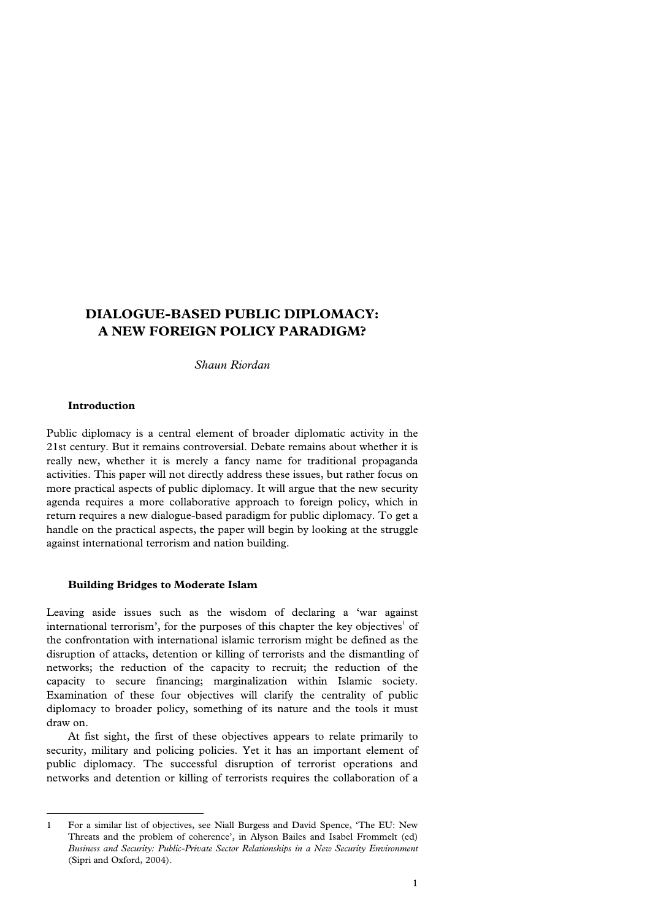# **DIALOGUE-BASED PUBLIC DIPLOMACY: A NEW FOREIGN POLICY PARADIGM?**

*Shaun Riordan* 

#### **Introduction**

 $\overline{a}$ 

Public diplomacy is a central element of broader diplomatic activity in the 21st century. But it remains controversial. Debate remains about whether it is really new, whether it is merely a fancy name for traditional propaganda activities. This paper will not directly address these issues, but rather focus on more practical aspects of public diplomacy. It will argue that the new security agenda requires a more collaborative approach to foreign policy, which in return requires a new dialogue-based paradigm for public diplomacy. To get a handle on the practical aspects, the paper will begin by looking at the struggle against international terrorism and nation building.

#### **Building Bridges to Moderate Islam**

Leaving aside issues such as the wisdom of declaring a 'war against international terrorism', for the purposes of this chapter the key objectives<sup>1</sup> of the confrontation with international islamic terrorism might be defined as the disruption of attacks, detention or killing of terrorists and the dismantling of networks; the reduction of the capacity to recruit; the reduction of the capacity to secure financing; marginalization within Islamic society. Examination of these four objectives will clarify the centrality of public diplomacy to broader policy, something of its nature and the tools it must draw on.

 At fist sight, the first of these objectives appears to relate primarily to security, military and policing policies. Yet it has an important element of public diplomacy. The successful disruption of terrorist operations and networks and detention or killing of terrorists requires the collaboration of a

<sup>1</sup> For a similar list of objectives, see Niall Burgess and David Spence, 'The EU: New Threats and the problem of coherence', in Alyson Bailes and Isabel Frommelt (ed) *Business and Security: Public-Private Sector Relationships in a New Security Environment* (Sipri and Oxford, 2004).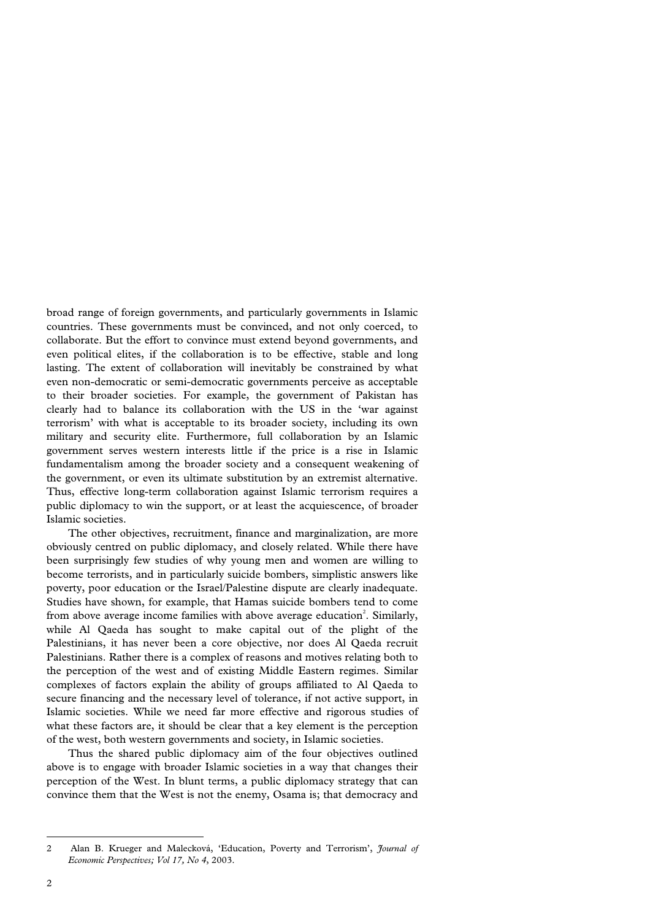broad range of foreign governments, and particularly governments in Islamic countries. These governments must be convinced, and not only coerced, to collaborate. But the effort to convince must extend beyond governments, and even political elites, if the collaboration is to be effective, stable and long lasting. The extent of collaboration will inevitably be constrained by what even non-democratic or semi-democratic governments perceive as acceptable to their broader societies. For example, the government of Pakistan has clearly had to balance its collaboration with the US in the 'war against terrorism' with what is acceptable to its broader society, including its own military and security elite. Furthermore, full collaboration by an Islamic government serves western interests little if the price is a rise in Islamic fundamentalism among the broader society and a consequent weakening of the government, or even its ultimate substitution by an extremist alternative. Thus, effective long-term collaboration against Islamic terrorism requires a public diplomacy to win the support, or at least the acquiescence, of broader Islamic societies.

 The other objectives, recruitment, finance and marginalization, are more obviously centred on public diplomacy, and closely related. While there have been surprisingly few studies of why young men and women are willing to become terrorists, and in particularly suicide bombers, simplistic answers like poverty, poor education or the Israel/Palestine dispute are clearly inadequate. Studies have shown, for example, that Hamas suicide bombers tend to come from above average income families with above average education<sup>2</sup>. Similarly, while Al Qaeda has sought to make capital out of the plight of the Palestinians, it has never been a core objective, nor does Al Qaeda recruit Palestinians. Rather there is a complex of reasons and motives relating both to the perception of the west and of existing Middle Eastern regimes. Similar complexes of factors explain the ability of groups affiliated to Al Qaeda to secure financing and the necessary level of tolerance, if not active support, in Islamic societies. While we need far more effective and rigorous studies of what these factors are, it should be clear that a key element is the perception of the west, both western governments and society, in Islamic societies.

 Thus the shared public diplomacy aim of the four objectives outlined above is to engage with broader Islamic societies in a way that changes their perception of the West. In blunt terms, a public diplomacy strategy that can convince them that the West is not the enemy, Osama is; that democracy and

<sup>2</sup> Alan B. Krueger and Malecková, 'Education, Poverty and Terrorism', *Journal of Economic Perspectives; Vol 17, No 4*, 2003.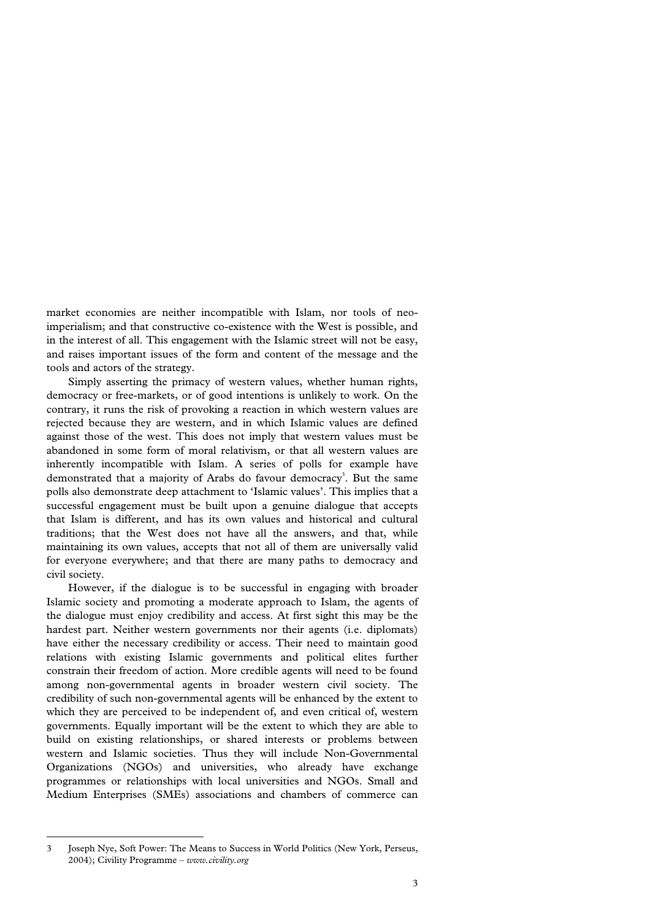market economies are neither incompatible with Islam, nor tools of neoimperialism; and that constructive co-existence with the West is possible, and in the interest of all. This engagement with the Islamic street will not be easy, and raises important issues of the form and content of the message and the tools and actors of the strategy.

 Simply asserting the primacy of western values, whether human rights, democracy or free-markets, or of good intentions is unlikely to work. On the contrary, it runs the risk of provoking a reaction in which western values are rejected because they are western, and in which Islamic values are defined against those of the west. This does not imply that western values must be abandoned in some form of moral relativism, or that all western values are inherently incompatible with Islam. A series of polls for example have demonstrated that a majority of Arabs do favour democracy<sup>3</sup>. But the same polls also demonstrate deep attachment to 'Islamic values'. This implies that a successful engagement must be built upon a genuine dialogue that accepts that Islam is different, and has its own values and historical and cultural traditions; that the West does not have all the answers, and that, while maintaining its own values, accepts that not all of them are universally valid for everyone everywhere; and that there are many paths to democracy and civil society.

 However, if the dialogue is to be successful in engaging with broader Islamic society and promoting a moderate approach to Islam, the agents of the dialogue must enjoy credibility and access. At first sight this may be the hardest part. Neither western governments nor their agents (i.e. diplomats) have either the necessary credibility or access. Their need to maintain good relations with existing Islamic governments and political elites further constrain their freedom of action. More credible agents will need to be found among non-governmental agents in broader western civil society. The credibility of such non-governmental agents will be enhanced by the extent to which they are perceived to be independent of, and even critical of, western governments. Equally important will be the extent to which they are able to build on existing relationships, or shared interests or problems between western and Islamic societies. Thus they will include Non-Governmental Organizations (NGOs) and universities, who already have exchange programmes or relationships with local universities and NGOs. Small and Medium Enterprises (SMEs) associations and chambers of commerce can

<sup>3</sup> Joseph Nye, Soft Power: The Means to Success in World Politics (New York, Perseus, 2004); Civility Programme – *www.civility.org*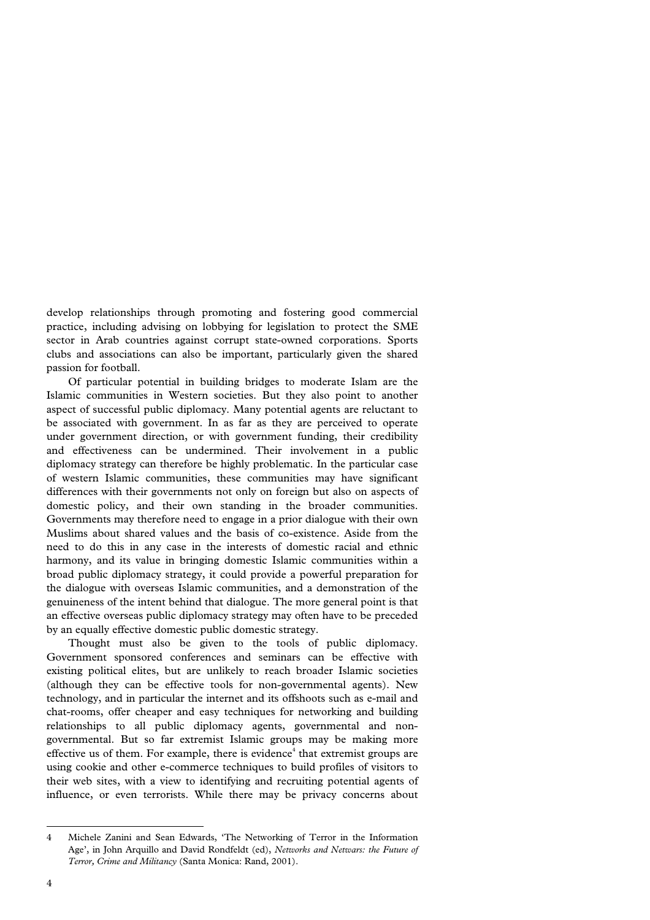develop relationships through promoting and fostering good commercial practice, including advising on lobbying for legislation to protect the SME sector in Arab countries against corrupt state-owned corporations. Sports clubs and associations can also be important, particularly given the shared passion for football.

 Of particular potential in building bridges to moderate Islam are the Islamic communities in Western societies. But they also point to another aspect of successful public diplomacy. Many potential agents are reluctant to be associated with government. In as far as they are perceived to operate under government direction, or with government funding, their credibility and effectiveness can be undermined. Their involvement in a public diplomacy strategy can therefore be highly problematic. In the particular case of western Islamic communities, these communities may have significant differences with their governments not only on foreign but also on aspects of domestic policy, and their own standing in the broader communities. Governments may therefore need to engage in a prior dialogue with their own Muslims about shared values and the basis of co-existence. Aside from the need to do this in any case in the interests of domestic racial and ethnic harmony, and its value in bringing domestic Islamic communities within a broad public diplomacy strategy, it could provide a powerful preparation for the dialogue with overseas Islamic communities, and a demonstration of the genuineness of the intent behind that dialogue. The more general point is that an effective overseas public diplomacy strategy may often have to be preceded by an equally effective domestic public domestic strategy.

 Thought must also be given to the tools of public diplomacy. Government sponsored conferences and seminars can be effective with existing political elites, but are unlikely to reach broader Islamic societies (although they can be effective tools for non-governmental agents). New technology, and in particular the internet and its offshoots such as e-mail and chat-rooms, offer cheaper and easy techniques for networking and building relationships to all public diplomacy agents, governmental and nongovernmental. But so far extremist Islamic groups may be making more effective us of them. For example, there is evidence<sup>4</sup> that extremist groups are using cookie and other e-commerce techniques to build profiles of visitors to their web sites, with a view to identifying and recruiting potential agents of influence, or even terrorists. While there may be privacy concerns about

 $\overline{a}$ 4 Michele Zanini and Sean Edwards, 'The Networking of Terror in the Information Age', in John Arquillo and David Rondfeldt (ed), *Networks and Netwars: the Future of Terror, Crime and Militancy* (Santa Monica: Rand, 2001).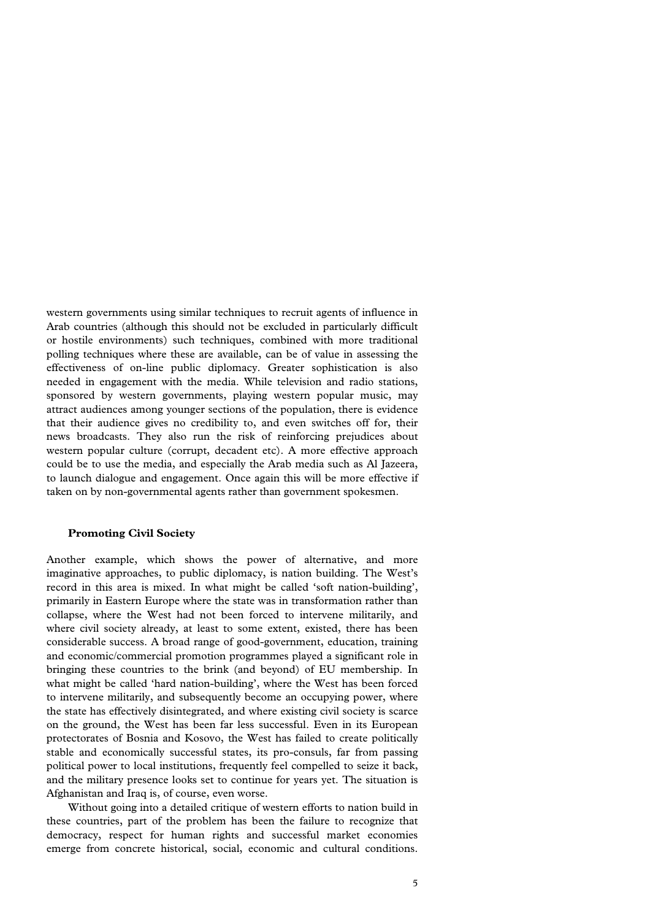western governments using similar techniques to recruit agents of influence in Arab countries (although this should not be excluded in particularly difficult or hostile environments) such techniques, combined with more traditional polling techniques where these are available, can be of value in assessing the effectiveness of on-line public diplomacy. Greater sophistication is also needed in engagement with the media. While television and radio stations, sponsored by western governments, playing western popular music, may attract audiences among younger sections of the population, there is evidence that their audience gives no credibility to, and even switches off for, their news broadcasts. They also run the risk of reinforcing prejudices about western popular culture (corrupt, decadent etc). A more effective approach could be to use the media, and especially the Arab media such as Al Jazeera, to launch dialogue and engagement. Once again this will be more effective if taken on by non-governmental agents rather than government spokesmen.

#### **Promoting Civil Society**

Another example, which shows the power of alternative, and more imaginative approaches, to public diplomacy, is nation building. The West's record in this area is mixed. In what might be called 'soft nation-building', primarily in Eastern Europe where the state was in transformation rather than collapse, where the West had not been forced to intervene militarily, and where civil society already, at least to some extent, existed, there has been considerable success. A broad range of good-government, education, training and economic/commercial promotion programmes played a significant role in bringing these countries to the brink (and beyond) of EU membership. In what might be called 'hard nation-building', where the West has been forced to intervene militarily, and subsequently become an occupying power, where the state has effectively disintegrated, and where existing civil society is scarce on the ground, the West has been far less successful. Even in its European protectorates of Bosnia and Kosovo, the West has failed to create politically stable and economically successful states, its pro-consuls, far from passing political power to local institutions, frequently feel compelled to seize it back, and the military presence looks set to continue for years yet. The situation is Afghanistan and Iraq is, of course, even worse.

 Without going into a detailed critique of western efforts to nation build in these countries, part of the problem has been the failure to recognize that democracy, respect for human rights and successful market economies emerge from concrete historical, social, economic and cultural conditions.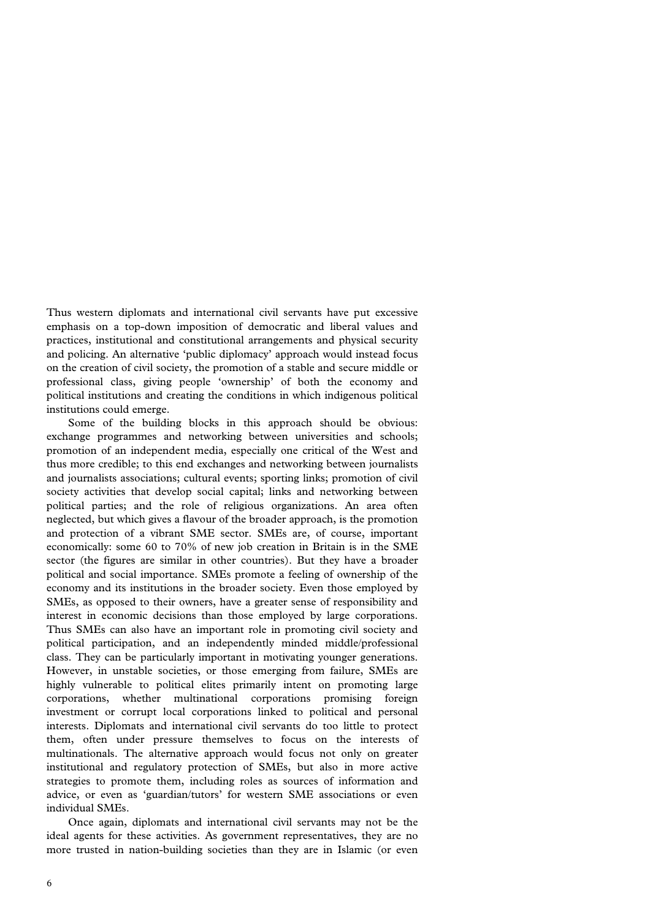Thus western diplomats and international civil servants have put excessive emphasis on a top-down imposition of democratic and liberal values and practices, institutional and constitutional arrangements and physical security and policing. An alternative 'public diplomacy' approach would instead focus on the creation of civil society, the promotion of a stable and secure middle or professional class, giving people 'ownership' of both the economy and political institutions and creating the conditions in which indigenous political institutions could emerge.

 Some of the building blocks in this approach should be obvious: exchange programmes and networking between universities and schools; promotion of an independent media, especially one critical of the West and thus more credible; to this end exchanges and networking between journalists and journalists associations; cultural events; sporting links; promotion of civil society activities that develop social capital; links and networking between political parties; and the role of religious organizations. An area often neglected, but which gives a flavour of the broader approach, is the promotion and protection of a vibrant SME sector. SMEs are, of course, important economically: some 60 to 70% of new job creation in Britain is in the SME sector (the figures are similar in other countries). But they have a broader political and social importance. SMEs promote a feeling of ownership of the economy and its institutions in the broader society. Even those employed by SMEs, as opposed to their owners, have a greater sense of responsibility and interest in economic decisions than those employed by large corporations. Thus SMEs can also have an important role in promoting civil society and political participation, and an independently minded middle/professional class. They can be particularly important in motivating younger generations. However, in unstable societies, or those emerging from failure, SMEs are highly vulnerable to political elites primarily intent on promoting large corporations, whether multinational corporations promising foreign investment or corrupt local corporations linked to political and personal interests. Diplomats and international civil servants do too little to protect them, often under pressure themselves to focus on the interests of multinationals. The alternative approach would focus not only on greater institutional and regulatory protection of SMEs, but also in more active strategies to promote them, including roles as sources of information and advice, or even as 'guardian/tutors' for western SME associations or even individual SMEs.

 Once again, diplomats and international civil servants may not be the ideal agents for these activities. As government representatives, they are no more trusted in nation-building societies than they are in Islamic (or even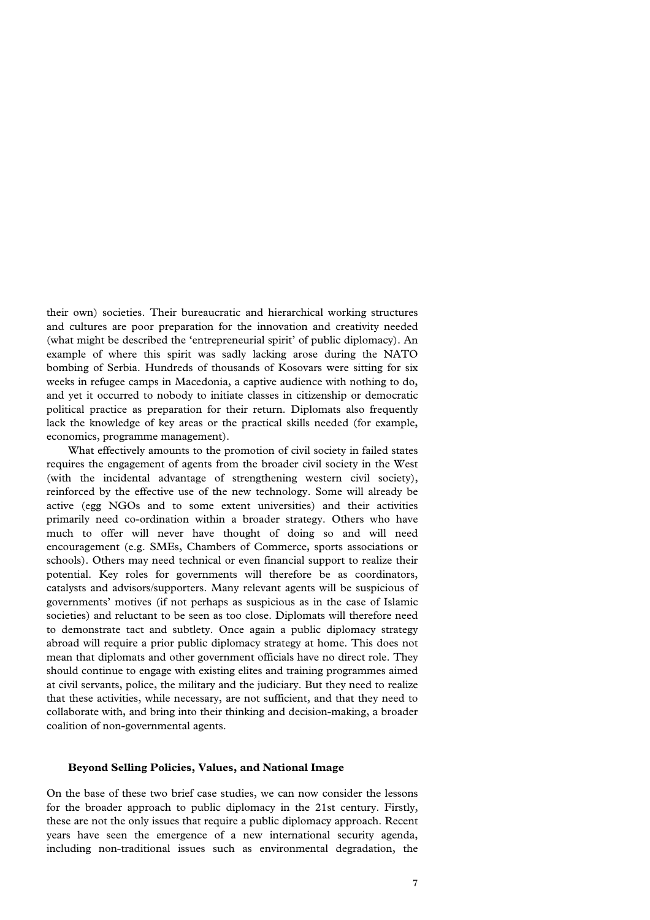their own) societies. Their bureaucratic and hierarchical working structures and cultures are poor preparation for the innovation and creativity needed (what might be described the 'entrepreneurial spirit' of public diplomacy). An example of where this spirit was sadly lacking arose during the NATO bombing of Serbia. Hundreds of thousands of Kosovars were sitting for six weeks in refugee camps in Macedonia, a captive audience with nothing to do, and yet it occurred to nobody to initiate classes in citizenship or democratic political practice as preparation for their return. Diplomats also frequently lack the knowledge of key areas or the practical skills needed (for example, economics, programme management).

 What effectively amounts to the promotion of civil society in failed states requires the engagement of agents from the broader civil society in the West (with the incidental advantage of strengthening western civil society), reinforced by the effective use of the new technology. Some will already be active (egg NGOs and to some extent universities) and their activities primarily need co-ordination within a broader strategy. Others who have much to offer will never have thought of doing so and will need encouragement (e.g. SMEs, Chambers of Commerce, sports associations or schools). Others may need technical or even financial support to realize their potential. Key roles for governments will therefore be as coordinators, catalysts and advisors/supporters. Many relevant agents will be suspicious of governments' motives (if not perhaps as suspicious as in the case of Islamic societies) and reluctant to be seen as too close. Diplomats will therefore need to demonstrate tact and subtlety. Once again a public diplomacy strategy abroad will require a prior public diplomacy strategy at home. This does not mean that diplomats and other government officials have no direct role. They should continue to engage with existing elites and training programmes aimed at civil servants, police, the military and the judiciary. But they need to realize that these activities, while necessary, are not sufficient, and that they need to collaborate with, and bring into their thinking and decision-making, a broader coalition of non-governmental agents.

#### **Beyond Selling Policies, Values, and National Image**

On the base of these two brief case studies, we can now consider the lessons for the broader approach to public diplomacy in the 21st century. Firstly, these are not the only issues that require a public diplomacy approach. Recent years have seen the emergence of a new international security agenda, including non-traditional issues such as environmental degradation, the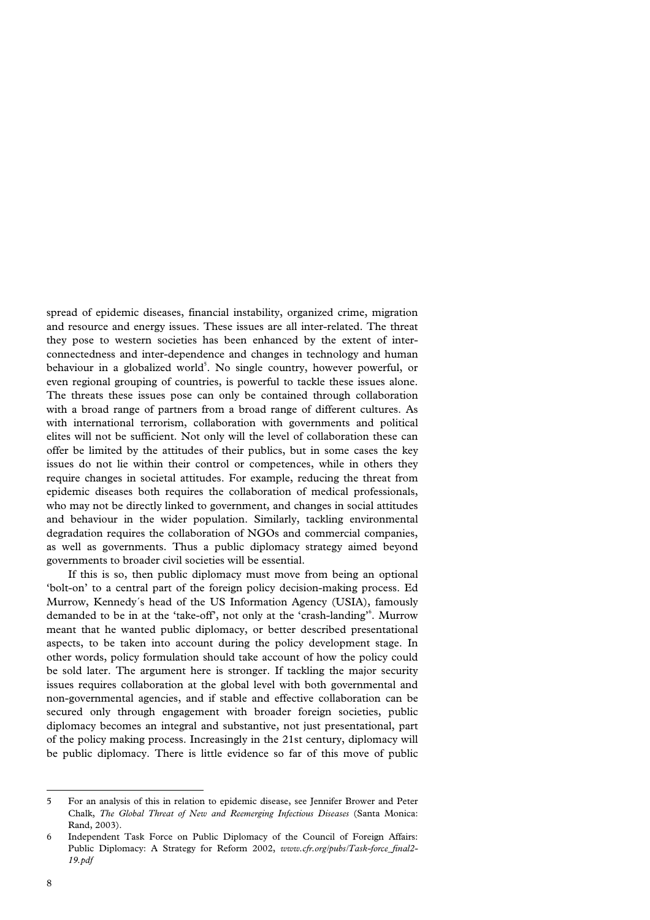spread of epidemic diseases, financial instability, organized crime, migration and resource and energy issues. These issues are all inter-related. The threat they pose to western societies has been enhanced by the extent of interconnectedness and inter-dependence and changes in technology and human behaviour in a globalized world<sup>5</sup>. No single country, however powerful, or even regional grouping of countries, is powerful to tackle these issues alone. The threats these issues pose can only be contained through collaboration with a broad range of partners from a broad range of different cultures. As with international terrorism, collaboration with governments and political elites will not be sufficient. Not only will the level of collaboration these can offer be limited by the attitudes of their publics, but in some cases the key issues do not lie within their control or competences, while in others they require changes in societal attitudes. For example, reducing the threat from epidemic diseases both requires the collaboration of medical professionals, who may not be directly linked to government, and changes in social attitudes and behaviour in the wider population. Similarly, tackling environmental degradation requires the collaboration of NGOs and commercial companies, as well as governments. Thus a public diplomacy strategy aimed beyond governments to broader civil societies will be essential.

 If this is so, then public diplomacy must move from being an optional 'bolt-on' to a central part of the foreign policy decision-making process. Ed Murrow, Kennedy´s head of the US Information Agency (USIA), famously demanded to be in at the 'take-off', not only at the 'crash-landing'<sup>6</sup>. Murrow meant that he wanted public diplomacy, or better described presentational aspects, to be taken into account during the policy development stage. In other words, policy formulation should take account of how the policy could be sold later. The argument here is stronger. If tackling the major security issues requires collaboration at the global level with both governmental and non-governmental agencies, and if stable and effective collaboration can be secured only through engagement with broader foreign societies, public diplomacy becomes an integral and substantive, not just presentational, part of the policy making process. Increasingly in the 21st century, diplomacy will be public diplomacy. There is little evidence so far of this move of public

<sup>5</sup> For an analysis of this in relation to epidemic disease, see Jennifer Brower and Peter Chalk, *The Global Threat of New and Reemerging Infectious Diseases* (Santa Monica: Rand, 2003).

<sup>6</sup> Independent Task Force on Public Diplomacy of the Council of Foreign Affairs: Public Diplomacy: A Strategy for Reform 2002, *www.cfr.org/pubs/Task-force\_final2- 19.pdf*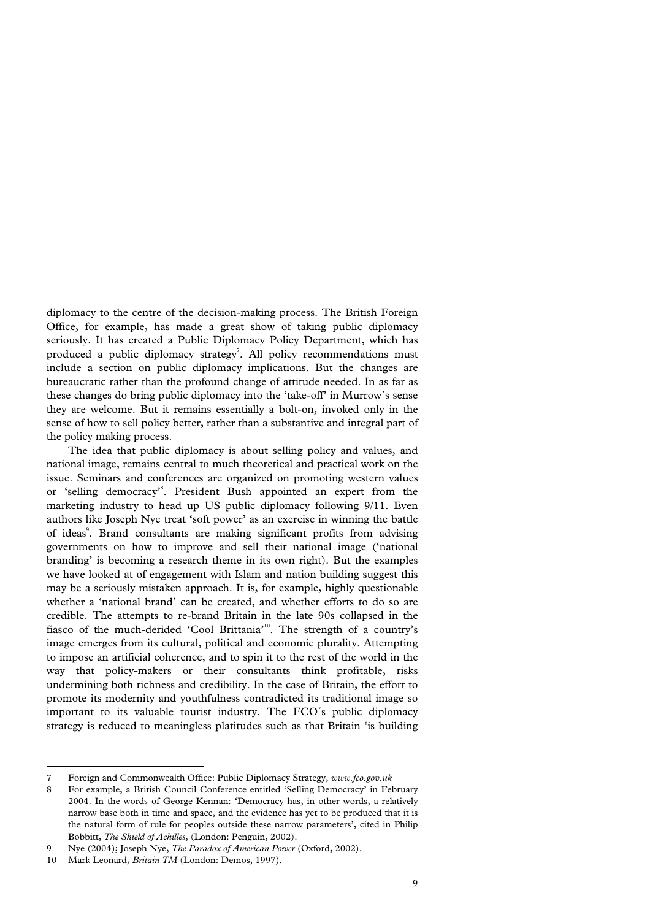diplomacy to the centre of the decision-making process. The British Foreign Office, for example, has made a great show of taking public diplomacy seriously. It has created a Public Diplomacy Policy Department, which has produced a public diplomacy strategy<sup>7</sup>. All policy recommendations must include a section on public diplomacy implications. But the changes are bureaucratic rather than the profound change of attitude needed. In as far as these changes do bring public diplomacy into the 'take-off' in Murrow´s sense they are welcome. But it remains essentially a bolt-on, invoked only in the sense of how to sell policy better, rather than a substantive and integral part of the policy making process.

 The idea that public diplomacy is about selling policy and values, and national image, remains central to much theoretical and practical work on the issue. Seminars and conferences are organized on promoting western values or 'selling democracy'8 . President Bush appointed an expert from the marketing industry to head up US public diplomacy following 9/11. Even authors like Joseph Nye treat 'soft power' as an exercise in winning the battle of ideas<sup>9</sup>. Brand consultants are making significant profits from advising governments on how to improve and sell their national image ('national branding' is becoming a research theme in its own right). But the examples we have looked at of engagement with Islam and nation building suggest this may be a seriously mistaken approach. It is, for example, highly questionable whether a 'national brand' can be created, and whether efforts to do so are credible. The attempts to re-brand Britain in the late 90s collapsed in the fiasco of the much-derided 'Cool Brittania'<sup>10</sup>. The strength of a country's image emerges from its cultural, political and economic plurality. Attempting to impose an artificial coherence, and to spin it to the rest of the world in the way that policy-makers or their consultants think profitable, risks undermining both richness and credibility. In the case of Britain, the effort to promote its modernity and youthfulness contradicted its traditional image so important to its valuable tourist industry. The FCO´s public diplomacy strategy is reduced to meaningless platitudes such as that Britain 'is building

<sup>7</sup> Foreign and Commonwealth Office: Public Diplomacy Strategy, *www.fco.gov.uk*

<sup>8</sup> For example, a British Council Conference entitled 'Selling Democracy' in February 2004. In the words of George Kennan: 'Democracy has, in other words, a relatively narrow base both in time and space, and the evidence has yet to be produced that it is the natural form of rule for peoples outside these narrow parameters', cited in Philip Bobbitt, *The Shield of Achilles*, (London: Penguin, 2002).

<sup>9</sup> Nye (2004); Joseph Nye, *The Paradox of American Power* (Oxford, 2002).

<sup>10</sup> Mark Leonard, *Britain TM* (London: Demos, 1997).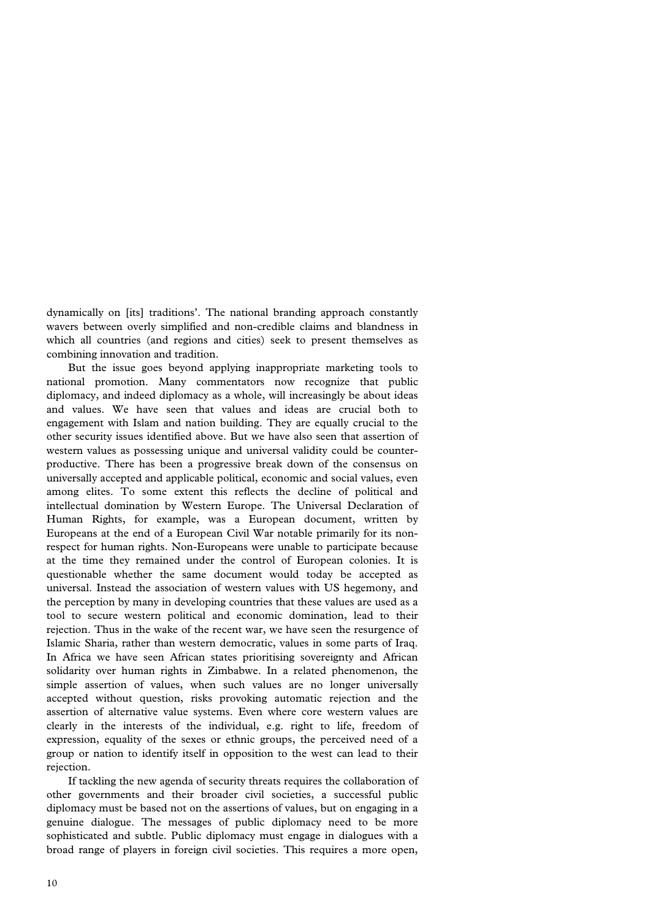dynamically on [its] traditions'. The national branding approach constantly wavers between overly simplified and non-credible claims and blandness in which all countries (and regions and cities) seek to present themselves as combining innovation and tradition.

 But the issue goes beyond applying inappropriate marketing tools to national promotion. Many commentators now recognize that public diplomacy, and indeed diplomacy as a whole, will increasingly be about ideas and values. We have seen that values and ideas are crucial both to engagement with Islam and nation building. They are equally crucial to the other security issues identified above. But we have also seen that assertion of western values as possessing unique and universal validity could be counterproductive. There has been a progressive break down of the consensus on universally accepted and applicable political, economic and social values, even among elites. To some extent this reflects the decline of political and intellectual domination by Western Europe. The Universal Declaration of Human Rights, for example, was a European document, written by Europeans at the end of a European Civil War notable primarily for its nonrespect for human rights. Non-Europeans were unable to participate because at the time they remained under the control of European colonies. It is questionable whether the same document would today be accepted as universal. Instead the association of western values with US hegemony, and the perception by many in developing countries that these values are used as a tool to secure western political and economic domination, lead to their rejection. Thus in the wake of the recent war, we have seen the resurgence of Islamic Sharia, rather than western democratic, values in some parts of Iraq. In Africa we have seen African states prioritising sovereignty and African solidarity over human rights in Zimbabwe. In a related phenomenon, the simple assertion of values, when such values are no longer universally accepted without question, risks provoking automatic rejection and the assertion of alternative value systems. Even where core western values are clearly in the interests of the individual, e.g. right to life, freedom of expression, equality of the sexes or ethnic groups, the perceived need of a group or nation to identify itself in opposition to the west can lead to their rejection.

 If tackling the new agenda of security threats requires the collaboration of other governments and their broader civil societies, a successful public diplomacy must be based not on the assertions of values, but on engaging in a genuine dialogue. The messages of public diplomacy need to be more sophisticated and subtle. Public diplomacy must engage in dialogues with a broad range of players in foreign civil societies. This requires a more open,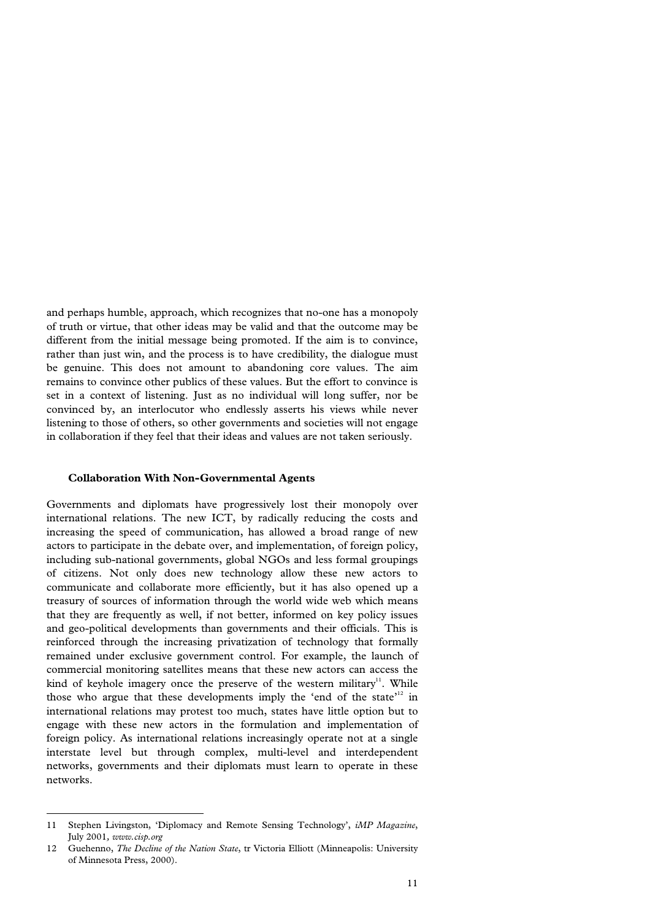and perhaps humble, approach, which recognizes that no-one has a monopoly of truth or virtue, that other ideas may be valid and that the outcome may be different from the initial message being promoted. If the aim is to convince, rather than just win, and the process is to have credibility, the dialogue must be genuine. This does not amount to abandoning core values. The aim remains to convince other publics of these values. But the effort to convince is set in a context of listening. Just as no individual will long suffer, nor be convinced by, an interlocutor who endlessly asserts his views while never listening to those of others, so other governments and societies will not engage in collaboration if they feel that their ideas and values are not taken seriously.

#### **Collaboration With Non-Governmental Agents**

Governments and diplomats have progressively lost their monopoly over international relations. The new ICT, by radically reducing the costs and increasing the speed of communication, has allowed a broad range of new actors to participate in the debate over, and implementation, of foreign policy, including sub-national governments, global NGOs and less formal groupings of citizens. Not only does new technology allow these new actors to communicate and collaborate more efficiently, but it has also opened up a treasury of sources of information through the world wide web which means that they are frequently as well, if not better, informed on key policy issues and geo-political developments than governments and their officials. This is reinforced through the increasing privatization of technology that formally remained under exclusive government control. For example, the launch of commercial monitoring satellites means that these new actors can access the kind of keyhole imagery once the preserve of the western military<sup>11</sup>. While those who argue that these developments imply the 'end of the state'<sup>12</sup> in international relations may protest too much, states have little option but to engage with these new actors in the formulation and implementation of foreign policy. As international relations increasingly operate not at a single interstate level but through complex, multi-level and interdependent networks, governments and their diplomats must learn to operate in these networks.

<sup>11</sup> Stephen Livingston, 'Diplomacy and Remote Sensing Technology', *iMP Magazine*, July 2001*, www.cisp.org*

<sup>12</sup> Guehenno, *The Decline of the Nation State*, tr Victoria Elliott (Minneapolis: University of Minnesota Press, 2000).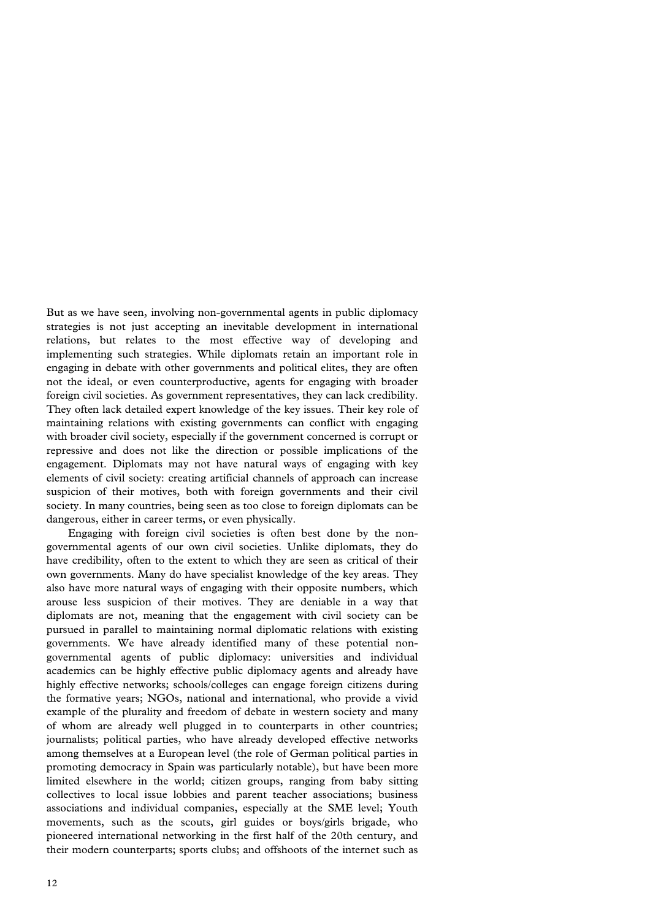But as we have seen, involving non-governmental agents in public diplomacy strategies is not just accepting an inevitable development in international relations, but relates to the most effective way of developing and implementing such strategies. While diplomats retain an important role in engaging in debate with other governments and political elites, they are often not the ideal, or even counterproductive, agents for engaging with broader foreign civil societies. As government representatives, they can lack credibility. They often lack detailed expert knowledge of the key issues. Their key role of maintaining relations with existing governments can conflict with engaging with broader civil society, especially if the government concerned is corrupt or repressive and does not like the direction or possible implications of the engagement. Diplomats may not have natural ways of engaging with key elements of civil society: creating artificial channels of approach can increase suspicion of their motives, both with foreign governments and their civil society. In many countries, being seen as too close to foreign diplomats can be dangerous, either in career terms, or even physically.

 Engaging with foreign civil societies is often best done by the nongovernmental agents of our own civil societies. Unlike diplomats, they do have credibility, often to the extent to which they are seen as critical of their own governments. Many do have specialist knowledge of the key areas. They also have more natural ways of engaging with their opposite numbers, which arouse less suspicion of their motives. They are deniable in a way that diplomats are not, meaning that the engagement with civil society can be pursued in parallel to maintaining normal diplomatic relations with existing governments. We have already identified many of these potential nongovernmental agents of public diplomacy: universities and individual academics can be highly effective public diplomacy agents and already have highly effective networks; schools/colleges can engage foreign citizens during the formative years; NGOs, national and international, who provide a vivid example of the plurality and freedom of debate in western society and many of whom are already well plugged in to counterparts in other countries; journalists; political parties, who have already developed effective networks among themselves at a European level (the role of German political parties in promoting democracy in Spain was particularly notable), but have been more limited elsewhere in the world; citizen groups, ranging from baby sitting collectives to local issue lobbies and parent teacher associations; business associations and individual companies, especially at the SME level; Youth movements, such as the scouts, girl guides or boys/girls brigade, who pioneered international networking in the first half of the 20th century, and their modern counterparts; sports clubs; and offshoots of the internet such as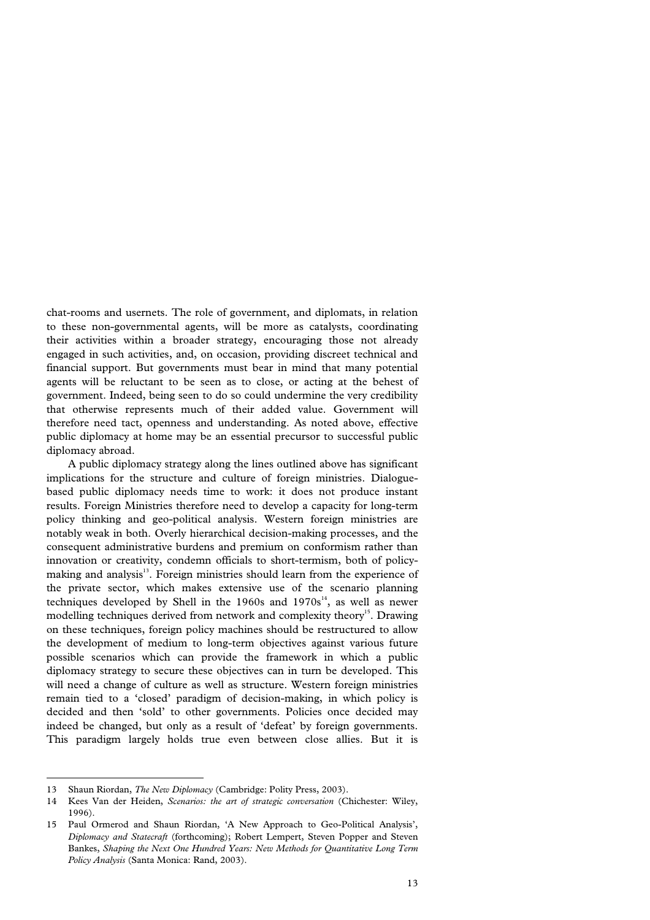chat-rooms and usernets. The role of government, and diplomats, in relation to these non-governmental agents, will be more as catalysts, coordinating their activities within a broader strategy, encouraging those not already engaged in such activities, and, on occasion, providing discreet technical and financial support. But governments must bear in mind that many potential agents will be reluctant to be seen as to close, or acting at the behest of government. Indeed, being seen to do so could undermine the very credibility that otherwise represents much of their added value. Government will therefore need tact, openness and understanding. As noted above, effective public diplomacy at home may be an essential precursor to successful public diplomacy abroad.

 A public diplomacy strategy along the lines outlined above has significant implications for the structure and culture of foreign ministries. Dialoguebased public diplomacy needs time to work: it does not produce instant results. Foreign Ministries therefore need to develop a capacity for long-term policy thinking and geo-political analysis. Western foreign ministries are notably weak in both. Overly hierarchical decision-making processes, and the consequent administrative burdens and premium on conformism rather than innovation or creativity, condemn officials to short-termism, both of policymaking and analysis<sup>13</sup>. Foreign ministries should learn from the experience of the private sector, which makes extensive use of the scenario planning techniques developed by Shell in the 1960s and  $1970s<sup>14</sup>$ , as well as newer modelling techniques derived from network and complexity theory<sup>15</sup>. Drawing on these techniques, foreign policy machines should be restructured to allow the development of medium to long-term objectives against various future possible scenarios which can provide the framework in which a public diplomacy strategy to secure these objectives can in turn be developed. This will need a change of culture as well as structure. Western foreign ministries remain tied to a 'closed' paradigm of decision-making, in which policy is decided and then 'sold' to other governments. Policies once decided may indeed be changed, but only as a result of 'defeat' by foreign governments. This paradigm largely holds true even between close allies. But it is

<sup>13</sup> Shaun Riordan, *The New Diplomacy* (Cambridge: Polity Press, 2003).

<sup>14</sup> Kees Van der Heiden, *Scenarios: the art of strategic conversation* (Chichester: Wiley, 1996).

<sup>15</sup> Paul Ormerod and Shaun Riordan, 'A New Approach to Geo-Political Analysis', *Diplomacy and Statecraft* (forthcoming); Robert Lempert, Steven Popper and Steven Bankes, *Shaping the Next One Hundred Years: New Methods for Quantitative Long Term Policy Analysis* (Santa Monica: Rand, 2003).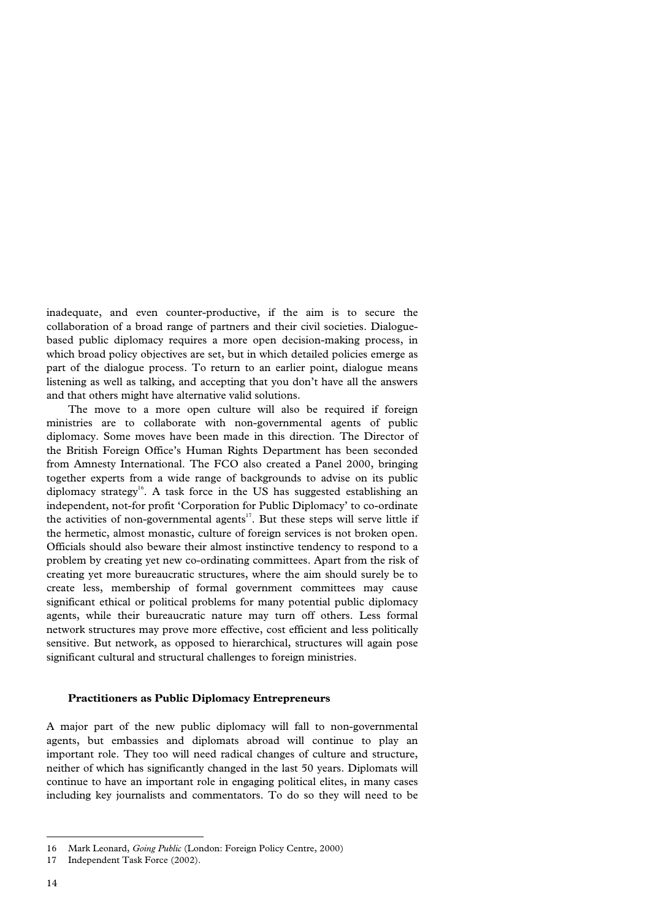inadequate, and even counter-productive, if the aim is to secure the collaboration of a broad range of partners and their civil societies. Dialoguebased public diplomacy requires a more open decision-making process, in which broad policy objectives are set, but in which detailed policies emerge as part of the dialogue process. To return to an earlier point, dialogue means listening as well as talking, and accepting that you don't have all the answers and that others might have alternative valid solutions.

 The move to a more open culture will also be required if foreign ministries are to collaborate with non-governmental agents of public diplomacy. Some moves have been made in this direction. The Director of the British Foreign Office's Human Rights Department has been seconded from Amnesty International. The FCO also created a Panel 2000, bringing together experts from a wide range of backgrounds to advise on its public diplomacy strategy<sup>16</sup>. A task force in the US has suggested establishing an independent, not-for profit 'Corporation for Public Diplomacy' to co-ordinate the activities of non-governmental agents $17$ . But these steps will serve little if the hermetic, almost monastic, culture of foreign services is not broken open. Officials should also beware their almost instinctive tendency to respond to a problem by creating yet new co-ordinating committees. Apart from the risk of creating yet more bureaucratic structures, where the aim should surely be to create less, membership of formal government committees may cause significant ethical or political problems for many potential public diplomacy agents, while their bureaucratic nature may turn off others. Less formal network structures may prove more effective, cost efficient and less politically sensitive. But network, as opposed to hierarchical, structures will again pose significant cultural and structural challenges to foreign ministries.

## **Practitioners as Public Diplomacy Entrepreneurs**

A major part of the new public diplomacy will fall to non-governmental agents, but embassies and diplomats abroad will continue to play an important role. They too will need radical changes of culture and structure, neither of which has significantly changed in the last 50 years. Diplomats will continue to have an important role in engaging political elites, in many cases including key journalists and commentators. To do so they will need to be

<sup>16</sup> Mark Leonard, *Going Public* (London: Foreign Policy Centre, 2000)

<sup>17</sup> Independent Task Force (2002).